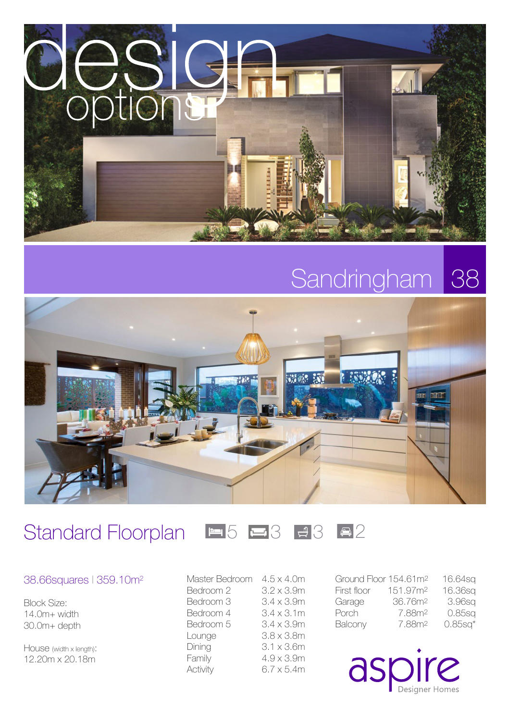

### Sandringham 38



### Standard Floorplan  $\blacksquare 5 \blacksquare 3$  3  $\blacksquare 3$



### 38.66squares l 359.10m2

Block Size: 14.0m+ width 30.0m+ depth

House (width x length): 12.20m x 20.18m

Master Bedroom 4.5 x 4.0m Bedroom 2 3.2 x 3.9m Bedroom  $3$   $3.4 \times 3.9$ m Bedroom 4 3.4 x 3.1m Bedroom  $5$   $3.4 \times 3.9$ m Lounge 3.8 x 3.8m Dining 3.1 x 3.6m Family 4.9 x 3.9m Activity 6.7 x 5.4m Ground Floor 154.61m2 16.64sq First floor 151.97m2 16.36sq Garage 36.76m2 3.96sq Porch 7.88m2 0.85sq Balcony 7.88m2 0.85sq\*

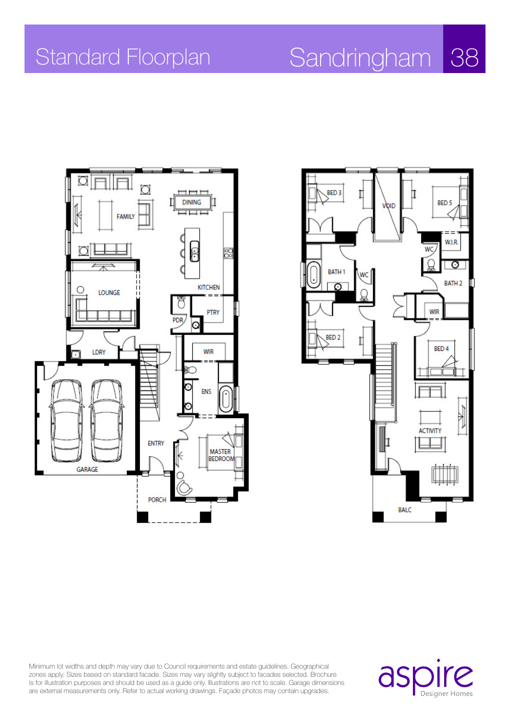# Standard Floorplan Sandringham 38





Minimum lot widths and depth may vary due to Council requirements and estate guidelines. Geographical zones apply. Sizes based on standard facade. Sizes may vary slightly subject to facades selected. Brochure is for illustration purposes and should be used as a guide only. Illustrations are not to scale. Garage dimensions are external measurements only. Refer to actual working drawings. Façade photos may contain upgrades.

aspire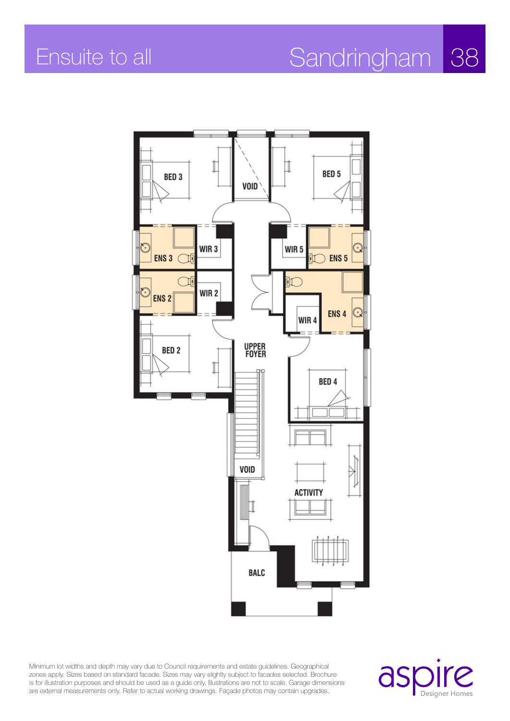## Ensuite to all Sandringham 38



Minimum lot widths and depth may vary due to Council requirements and estate guidelines. Geographical zones apply. Sizes based on standard facade. Sizes may vary slightly subject to facades selected. Brochure is for illustration purposes and should be used as a guide only. Illustrations are not to scale. Garage dimensions are external measurements only. Refer to actual working drawings. Façade photos may contain upgrades.

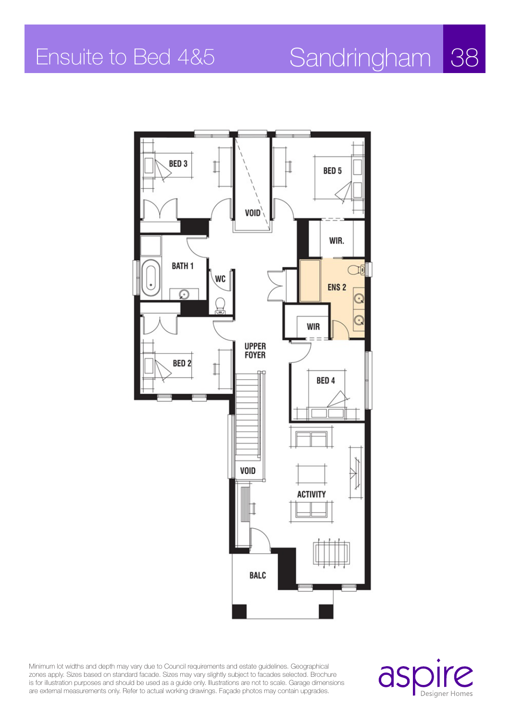# Ensuite to Bed 4&5 Sandringham 38



Minimum lot widths and depth may vary due to Council requirements and estate guidelines. Geographical zones apply. Sizes based on standard facade. Sizes may vary slightly subject to facades selected. Brochure is for illustration purposes and should be used as a guide only. Illustrations are not to scale. Garage dimensions are external measurements only. Refer to actual working drawings. Façade photos may contain upgrades.